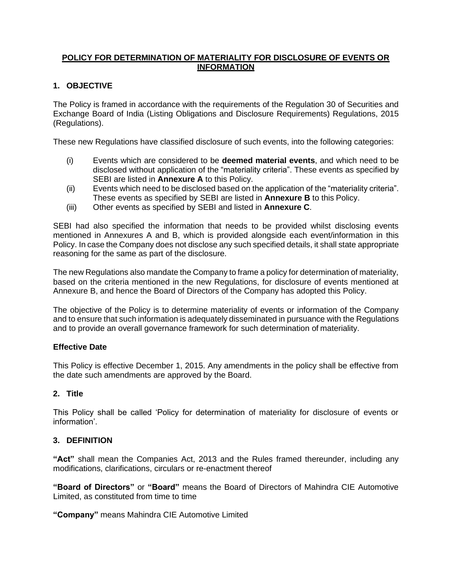# **POLICY FOR DETERMINATION OF MATERIALITY FOR DISCLOSURE OF EVENTS OR INFORMATION**

# **1. OBJECTIVE**

The Policy is framed in accordance with the requirements of the Regulation 30 of Securities and Exchange Board of India (Listing Obligations and Disclosure Requirements) Regulations, 2015 (Regulations).

These new Regulations have classified disclosure of such events, into the following categories:

- (i) Events which are considered to be **deemed material events**, and which need to be disclosed without application of the "materiality criteria". These events as specified by SEBI are listed in **Annexure A** to this Policy.
- (ii) Events which need to be disclosed based on the application of the "materiality criteria". These events as specified by SEBI are listed in **Annexure B** to this Policy.
- (iii) Other events as specified by SEBI and listed in **Annexure C**.

SEBI had also specified the information that needs to be provided whilst disclosing events mentioned in Annexures A and B, which is provided alongside each event/information in this Policy. In case the Company does not disclose any such specified details, it shall state appropriate reasoning for the same as part of the disclosure.

The new Regulations also mandate the Company to frame a policy for determination of materiality, based on the criteria mentioned in the new Regulations, for disclosure of events mentioned at Annexure B, and hence the Board of Directors of the Company has adopted this Policy.

The objective of the Policy is to determine materiality of events or information of the Company and to ensure that such information is adequately disseminated in pursuance with the Regulations and to provide an overall governance framework for such determination of materiality.

### **Effective Date**

This Policy is effective December 1, 2015. Any amendments in the policy shall be effective from the date such amendments are approved by the Board.

### **2. Title**

This Policy shall be called 'Policy for determination of materiality for disclosure of events or information'.

### **3. DEFINITION**

**"Act"** shall mean the Companies Act, 2013 and the Rules framed thereunder, including any modifications, clarifications, circulars or re-enactment thereof

**"Board of Directors"** or **"Board"** means the Board of Directors of Mahindra CIE Automotive Limited, as constituted from time to time

**"Company"** means Mahindra CIE Automotive Limited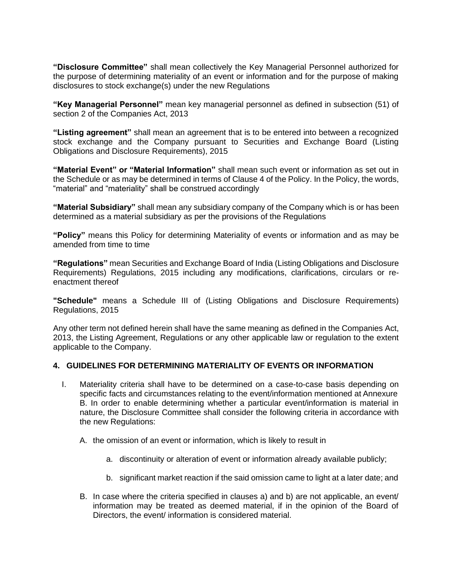**"Disclosure Committee"** shall mean collectively the Key Managerial Personnel authorized for the purpose of determining materiality of an event or information and for the purpose of making disclosures to stock exchange(s) under the new Regulations

**"Key Managerial Personnel"** mean key managerial personnel as defined in subsection (51) of section 2 of the Companies Act, 2013

**"Listing agreement"** shall mean an agreement that is to be entered into between a recognized stock exchange and the Company pursuant to Securities and Exchange Board (Listing Obligations and Disclosure Requirements), 2015

**"Material Event" or "Material Information"** shall mean such event or information as set out in the Schedule or as may be determined in terms of Clause 4 of the Policy. In the Policy, the words, "material" and "materiality" shall be construed accordingly

**"Material Subsidiary"** shall mean any subsidiary company of the Company which is or has been determined as a material subsidiary as per the provisions of the Regulations

**"Policy"** means this Policy for determining Materiality of events or information and as may be amended from time to time

**"Regulations"** mean Securities and Exchange Board of India (Listing Obligations and Disclosure Requirements) Regulations, 2015 including any modifications, clarifications, circulars or reenactment thereof

**"Schedule"** means a Schedule III of (Listing Obligations and Disclosure Requirements) Regulations, 2015

Any other term not defined herein shall have the same meaning as defined in the Companies Act, 2013, the Listing Agreement, Regulations or any other applicable law or regulation to the extent applicable to the Company.

#### **4. GUIDELINES FOR DETERMINING MATERIALITY OF EVENTS OR INFORMATION**

- I. Materiality criteria shall have to be determined on a case-to-case basis depending on specific facts and circumstances relating to the event/information mentioned at Annexure B. In order to enable determining whether a particular event/information is material in nature, the Disclosure Committee shall consider the following criteria in accordance with the new Regulations:
	- A. the omission of an event or information, which is likely to result in
		- a. discontinuity or alteration of event or information already available publicly;
		- b. significant market reaction if the said omission came to light at a later date; and
	- B. In case where the criteria specified in clauses a) and b) are not applicable, an event/ information may be treated as deemed material, if in the opinion of the Board of Directors, the event/ information is considered material.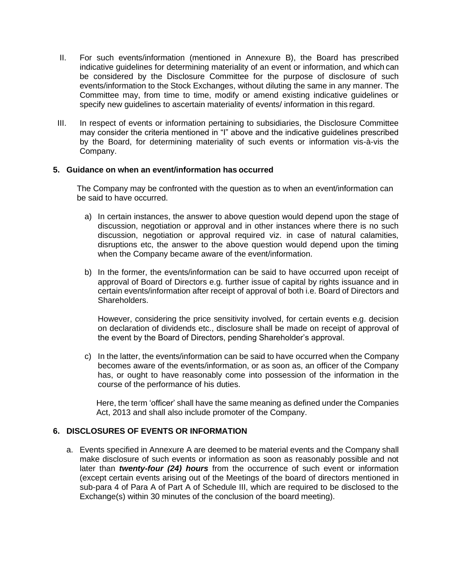- II. For such events/information (mentioned in Annexure B), the Board has prescribed indicative guidelines for determining materiality of an event or information, and which can be considered by the Disclosure Committee for the purpose of disclosure of such events/information to the Stock Exchanges, without diluting the same in any manner. The Committee may, from time to time, modify or amend existing indicative guidelines or specify new guidelines to ascertain materiality of events/ information in this regard.
- III. In respect of events or information pertaining to subsidiaries, the Disclosure Committee may consider the criteria mentioned in "I" above and the indicative guidelines prescribed by the Board, for determining materiality of such events or information vis-à-vis the Company.

#### **5. Guidance on when an event/information has occurred**

The Company may be confronted with the question as to when an event/information can be said to have occurred.

- a) In certain instances, the answer to above question would depend upon the stage of discussion, negotiation or approval and in other instances where there is no such discussion, negotiation or approval required viz. in case of natural calamities, disruptions etc, the answer to the above question would depend upon the timing when the Company became aware of the event/information.
- b) In the former, the events/information can be said to have occurred upon receipt of approval of Board of Directors e.g. further issue of capital by rights issuance and in certain events/information after receipt of approval of both i.e. Board of Directors and Shareholders.

However, considering the price sensitivity involved, for certain events e.g. decision on declaration of dividends etc., disclosure shall be made on receipt of approval of the event by the Board of Directors, pending Shareholder's approval.

c) In the latter, the events/information can be said to have occurred when the Company becomes aware of the events/information, or as soon as, an officer of the Company has, or ought to have reasonably come into possession of the information in the course of the performance of his duties.

Here, the term 'officer' shall have the same meaning as defined under the Companies Act, 2013 and shall also include promoter of the Company.

## **6. DISCLOSURES OF EVENTS OR INFORMATION**

a. Events specified in Annexure A are deemed to be material events and the Company shall make disclosure of such events or information as soon as reasonably possible and not later than *twenty-four (24) hours* from the occurrence of such event or information (except certain events arising out of the Meetings of the board of directors mentioned in sub-para 4 of Para A of Part A of Schedule III, which are required to be disclosed to the Exchange(s) within 30 minutes of the conclusion of the board meeting).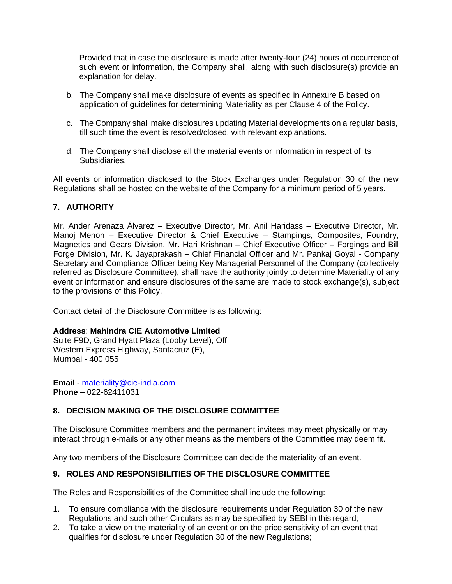Provided that in case the disclosure is made after twenty-four (24) hours of occurrenceof such event or information, the Company shall, along with such disclosure(s) provide an explanation for delay.

- b. The Company shall make disclosure of events as specified in Annexure B based on application of guidelines for determining Materiality as per Clause 4 of the Policy.
- c. The Company shall make disclosures updating Material developments on a regular basis, till such time the event is resolved/closed, with relevant explanations.
- d. The Company shall disclose all the material events or information in respect of its Subsidiaries.

All events or information disclosed to the Stock Exchanges under Regulation 30 of the new Regulations shall be hosted on the website of the Company for a minimum period of 5 years.

# **7. AUTHORITY**

Mr. Ander Arenaza Álvarez – Executive Director, Mr. Anil Haridass – Executive Director, Mr. Manoj Menon – Executive Director & Chief Executive – Stampings, Composites, Foundry, Magnetics and Gears Division, Mr. Hari Krishnan – Chief Executive Officer – Forgings and Bill Forge Division, Mr. K. Jayaprakash – Chief Financial Officer and Mr. Pankaj Goyal - Company Secretary and Compliance Officer being Key Managerial Personnel of the Company (collectively referred as Disclosure Committee), shall have the authority jointly to determine Materiality of any event or information and ensure disclosures of the same are made to stock exchange(s), subject to the provisions of this Policy.

Contact detail of the Disclosure Committee is as following:

### **Address**: **Mahindra CIE Automotive Limited**

Suite F9D, Grand Hyatt Plaza (Lobby Level), Off Western Express Highway, Santacruz (E), Mumbai - 400 055

**Email** - [materiality@cie-india.com](mailto:materiality@cie-india.com) **Phone** – 022-62411031

### **8. DECISION MAKING OF THE DISCLOSURE COMMITTEE**

The Disclosure Committee members and the permanent invitees may meet physically or may interact through e-mails or any other means as the members of the Committee may deem fit.

Any two members of the Disclosure Committee can decide the materiality of an event.

### **9. ROLES AND RESPONSIBILITIES OF THE DISCLOSURE COMMITTEE**

The Roles and Responsibilities of the Committee shall include the following:

- 1. To ensure compliance with the disclosure requirements under Regulation 30 of the new Regulations and such other Circulars as may be specified by SEBI in this regard;
- 2. To take a view on the materiality of an event or on the price sensitivity of an event that qualifies for disclosure under Regulation 30 of the new Regulations;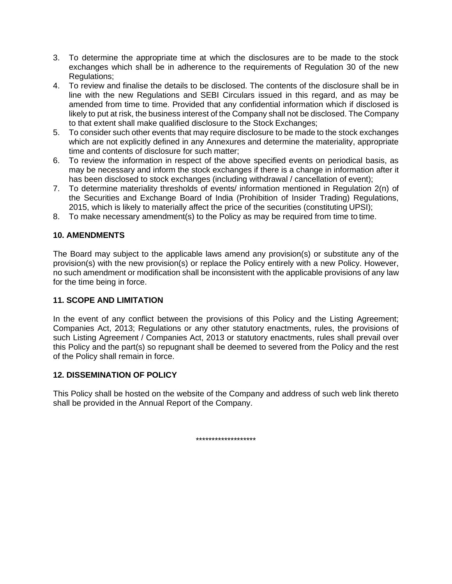- 3. To determine the appropriate time at which the disclosures are to be made to the stock exchanges which shall be in adherence to the requirements of Regulation 30 of the new Regulations;
- 4. To review and finalise the details to be disclosed. The contents of the disclosure shall be in line with the new Regulations and SEBI Circulars issued in this regard, and as may be amended from time to time. Provided that any confidential information which if disclosed is likely to put at risk, the business interest of the Company shall not be disclosed. The Company to that extent shall make qualified disclosure to the Stock Exchanges;
- 5. To consider such other events that may require disclosure to be made to the stock exchanges which are not explicitly defined in any Annexures and determine the materiality, appropriate time and contents of disclosure for such matter;
- 6. To review the information in respect of the above specified events on periodical basis, as may be necessary and inform the stock exchanges if there is a change in information after it has been disclosed to stock exchanges (including withdrawal / cancellation of event);
- 7. To determine materiality thresholds of events/ information mentioned in Regulation 2(n) of the Securities and Exchange Board of India (Prohibition of Insider Trading) Regulations, 2015, which is likely to materially affect the price of the securities (constituting UPSI);
- 8. To make necessary amendment(s) to the Policy as may be required from time to time.

# **10. AMENDMENTS**

The Board may subject to the applicable laws amend any provision(s) or substitute any of the provision(s) with the new provision(s) or replace the Policy entirely with a new Policy. However, no such amendment or modification shall be inconsistent with the applicable provisions of any law for the time being in force.

### **11. SCOPE AND LIMITATION**

In the event of any conflict between the provisions of this Policy and the Listing Agreement; Companies Act, 2013; Regulations or any other statutory enactments, rules, the provisions of such Listing Agreement / Companies Act, 2013 or statutory enactments, rules shall prevail over this Policy and the part(s) so repugnant shall be deemed to severed from the Policy and the rest of the Policy shall remain in force.

### **12. DISSEMINATION OF POLICY**

This Policy shall be hosted on the website of the Company and address of such web link thereto shall be provided in the Annual Report of the Company.

\*\*\*\*\*\*\*\*\*\*\*\*\*\*\*\*\*\*\*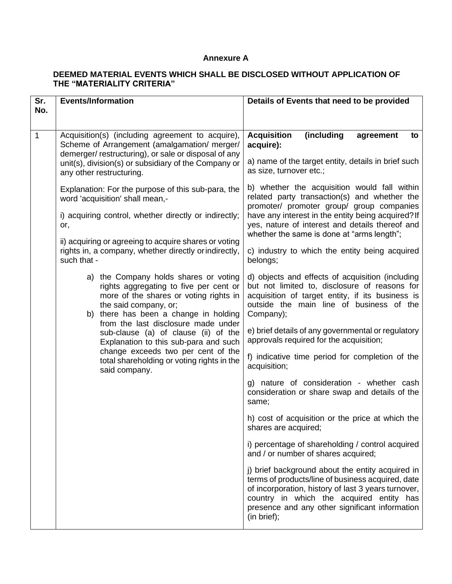#### **Annexure A**

# **DEEMED MATERIAL EVENTS WHICH SHALL BE DISCLOSED WITHOUT APPLICATION OF THE "MATERIALITY CRITERIA"**

| Sr.<br>No.   | <b>Events/Information</b>                                                                                                                                                                                                                                                                                           | Details of Events that need to be provided                                                                                                                                                                                                                                |
|--------------|---------------------------------------------------------------------------------------------------------------------------------------------------------------------------------------------------------------------------------------------------------------------------------------------------------------------|---------------------------------------------------------------------------------------------------------------------------------------------------------------------------------------------------------------------------------------------------------------------------|
|              |                                                                                                                                                                                                                                                                                                                     |                                                                                                                                                                                                                                                                           |
| $\mathbf{1}$ | Acquisition(s) (including agreement to acquire),<br>Scheme of Arrangement (amalgamation/ merger/<br>demerger/restructuring), or sale or disposal of any                                                                                                                                                             | <b>Acquisition</b><br>(including<br>agreement<br>to<br>acquire):                                                                                                                                                                                                          |
|              | unit(s), division(s) or subsidiary of the Company or<br>any other restructuring.                                                                                                                                                                                                                                    | a) name of the target entity, details in brief such<br>as size, turnover etc.;                                                                                                                                                                                            |
|              | Explanation: For the purpose of this sub-para, the<br>word 'acquisition' shall mean,-                                                                                                                                                                                                                               | b) whether the acquisition would fall within<br>related party transaction(s) and whether the<br>promoter/ promoter group/ group companies                                                                                                                                 |
|              | i) acquiring control, whether directly or indirectly;<br>or,                                                                                                                                                                                                                                                        | have any interest in the entity being acquired? If<br>yes, nature of interest and details thereof and<br>whether the same is done at "arms length";                                                                                                                       |
|              | ii) acquiring or agreeing to acquire shares or voting<br>rights in, a company, whether directly or indirectly,<br>such that -                                                                                                                                                                                       | c) industry to which the entity being acquired<br>belongs;                                                                                                                                                                                                                |
|              | a) the Company holds shares or voting<br>rights aggregating to five per cent or<br>more of the shares or voting rights in<br>the said company, or;<br>b) there has been a change in holding<br>from the last disclosure made under<br>sub-clause (a) of clause (ii) of the<br>Explanation to this sub-para and such | d) objects and effects of acquisition (including<br>but not limited to, disclosure of reasons for<br>acquisition of target entity, if its business is<br>outside the main line of business of the<br>Company);                                                            |
|              |                                                                                                                                                                                                                                                                                                                     | e) brief details of any governmental or regulatory<br>approvals required for the acquisition;                                                                                                                                                                             |
|              | change exceeds two per cent of the<br>total shareholding or voting rights in the<br>said company.                                                                                                                                                                                                                   | f) indicative time period for completion of the<br>acquisition;                                                                                                                                                                                                           |
|              |                                                                                                                                                                                                                                                                                                                     | g) nature of consideration - whether cash<br>consideration or share swap and details of the<br>same;                                                                                                                                                                      |
|              |                                                                                                                                                                                                                                                                                                                     | h) cost of acquisition or the price at which the<br>shares are acquired;                                                                                                                                                                                                  |
|              |                                                                                                                                                                                                                                                                                                                     | i) percentage of shareholding / control acquired<br>and / or number of shares acquired;                                                                                                                                                                                   |
|              |                                                                                                                                                                                                                                                                                                                     | j) brief background about the entity acquired in<br>terms of products/line of business acquired, date<br>of incorporation, history of last 3 years turnover,<br>country in which the acquired entity has<br>presence and any other significant information<br>(in brief); |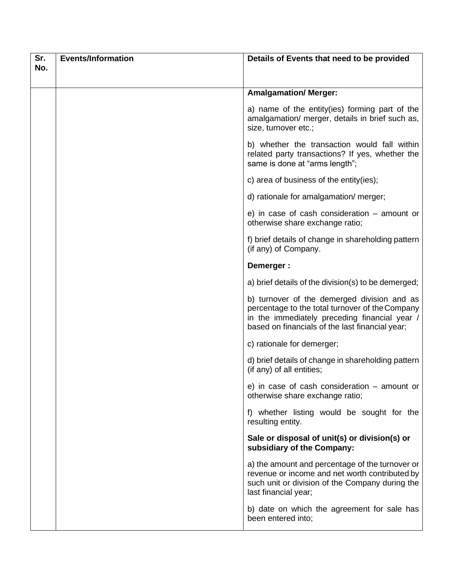| Sr. | <b>Events/Information</b> | Details of Events that need to be provided                                                                                                                                                         |
|-----|---------------------------|----------------------------------------------------------------------------------------------------------------------------------------------------------------------------------------------------|
| No. |                           |                                                                                                                                                                                                    |
|     |                           |                                                                                                                                                                                                    |
|     |                           | <b>Amalgamation/ Merger:</b>                                                                                                                                                                       |
|     |                           | a) name of the entity(ies) forming part of the<br>amalgamation/ merger, details in brief such as,<br>size, turnover etc.;                                                                          |
|     |                           | b) whether the transaction would fall within<br>related party transactions? If yes, whether the<br>same is done at "arms length";                                                                  |
|     |                           | c) area of business of the entity(ies);                                                                                                                                                            |
|     |                           | d) rationale for amalgamation/ merger;                                                                                                                                                             |
|     |                           | e) in case of cash consideration $-$ amount or<br>otherwise share exchange ratio;                                                                                                                  |
|     |                           | f) brief details of change in shareholding pattern<br>(if any) of Company.                                                                                                                         |
|     |                           | Demerger:                                                                                                                                                                                          |
|     |                           | a) brief details of the division(s) to be demerged;                                                                                                                                                |
|     |                           | b) turnover of the demerged division and as<br>percentage to the total turnover of the Company<br>in the immediately preceding financial year /<br>based on financials of the last financial year; |
|     |                           | c) rationale for demerger;                                                                                                                                                                         |
|     |                           | d) brief details of change in shareholding pattern<br>(if any) of all entities;                                                                                                                    |
|     |                           | e) in case of cash consideration - amount or<br>otherwise share exchange ratio;                                                                                                                    |
|     |                           | f) whether listing would be sought for the<br>resulting entity.                                                                                                                                    |
|     |                           | Sale or disposal of unit(s) or division(s) or<br>subsidiary of the Company:                                                                                                                        |
|     |                           | a) the amount and percentage of the turnover or<br>revenue or income and net worth contributed by<br>such unit or division of the Company during the<br>last financial year;                       |
|     |                           | b) date on which the agreement for sale has<br>been entered into;                                                                                                                                  |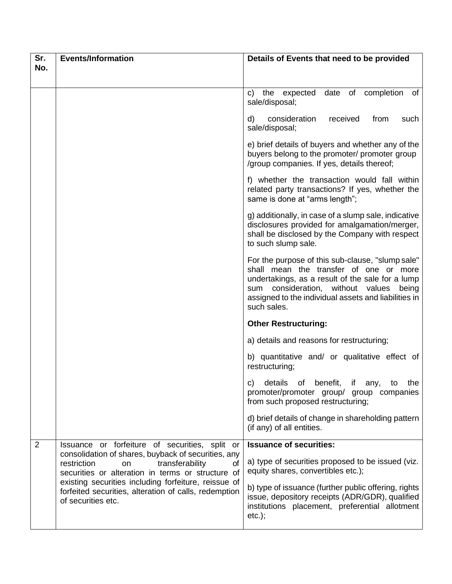| Sr.                                                                                                                                                                         | <b>Events/Information</b>                                                                                                                                              | Details of Events that need to be provided                                                                                                                                                                                                                       |
|-----------------------------------------------------------------------------------------------------------------------------------------------------------------------------|------------------------------------------------------------------------------------------------------------------------------------------------------------------------|------------------------------------------------------------------------------------------------------------------------------------------------------------------------------------------------------------------------------------------------------------------|
| No.                                                                                                                                                                         |                                                                                                                                                                        |                                                                                                                                                                                                                                                                  |
|                                                                                                                                                                             |                                                                                                                                                                        | date of completion<br>the expected<br>of<br>C)                                                                                                                                                                                                                   |
|                                                                                                                                                                             |                                                                                                                                                                        | sale/disposal;                                                                                                                                                                                                                                                   |
|                                                                                                                                                                             |                                                                                                                                                                        | d)<br>consideration<br>received<br>from<br>such<br>sale/disposal;                                                                                                                                                                                                |
|                                                                                                                                                                             |                                                                                                                                                                        | e) brief details of buyers and whether any of the<br>buyers belong to the promoter/ promoter group<br>/group companies. If yes, details thereof;                                                                                                                 |
|                                                                                                                                                                             |                                                                                                                                                                        | f) whether the transaction would fall within<br>related party transactions? If yes, whether the<br>same is done at "arms length";                                                                                                                                |
|                                                                                                                                                                             |                                                                                                                                                                        | g) additionally, in case of a slump sale, indicative<br>disclosures provided for amalgamation/merger,<br>shall be disclosed by the Company with respect<br>to such slump sale.                                                                                   |
|                                                                                                                                                                             |                                                                                                                                                                        | For the purpose of this sub-clause, "slump sale"<br>shall mean the transfer of one or more<br>undertakings, as a result of the sale for a lump<br>sum consideration, without values being<br>assigned to the individual assets and liabilities in<br>such sales. |
|                                                                                                                                                                             |                                                                                                                                                                        | <b>Other Restructuring:</b>                                                                                                                                                                                                                                      |
|                                                                                                                                                                             |                                                                                                                                                                        | a) details and reasons for restructuring;                                                                                                                                                                                                                        |
|                                                                                                                                                                             |                                                                                                                                                                        | b) quantitative and/ or qualitative effect of<br>restructuring;                                                                                                                                                                                                  |
|                                                                                                                                                                             |                                                                                                                                                                        | c) details of benefit, if any, to the<br>promoter/promoter group/ group companies<br>from such proposed restructuring;                                                                                                                                           |
|                                                                                                                                                                             |                                                                                                                                                                        | d) brief details of change in shareholding pattern<br>(if any) of all entities.                                                                                                                                                                                  |
| $\overline{2}$                                                                                                                                                              | Issuance or forfeiture of securities, split or                                                                                                                         | <b>Issuance of securities:</b>                                                                                                                                                                                                                                   |
| restriction<br>transferability<br>on<br>existing securities including forfeiture, reissue of<br>forfeited securities, alteration of calls, redemption<br>of securities etc. | consolidation of shares, buyback of securities, any<br>οf<br>securities or alteration in terms or structure of                                                         | a) type of securities proposed to be issued (viz.<br>equity shares, convertibles etc.);                                                                                                                                                                          |
|                                                                                                                                                                             | b) type of issuance (further public offering, rights<br>issue, depository receipts (ADR/GDR), qualified<br>institutions placement, preferential allotment<br>$etc.$ ); |                                                                                                                                                                                                                                                                  |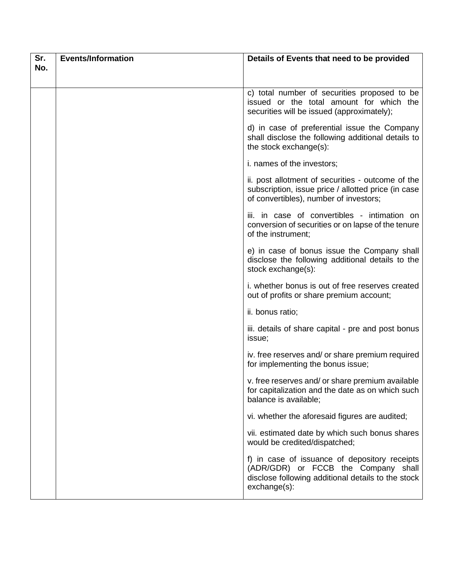| Sr. | <b>Events/Information</b> | Details of Events that need to be provided                                                                                                                 |
|-----|---------------------------|------------------------------------------------------------------------------------------------------------------------------------------------------------|
| No. |                           |                                                                                                                                                            |
|     |                           | c) total number of securities proposed to be<br>issued or the total amount for which the<br>securities will be issued (approximately);                     |
|     |                           | d) in case of preferential issue the Company<br>shall disclose the following additional details to<br>the stock exchange(s):                               |
|     |                           | i. names of the investors;                                                                                                                                 |
|     |                           | ii. post allotment of securities - outcome of the<br>subscription, issue price / allotted price (in case<br>of convertibles), number of investors;         |
|     |                           | iii. in case of convertibles - intimation on<br>conversion of securities or on lapse of the tenure<br>of the instrument;                                   |
|     |                           | e) in case of bonus issue the Company shall<br>disclose the following additional details to the<br>stock exchange(s):                                      |
|     |                           | i. whether bonus is out of free reserves created<br>out of profits or share premium account;                                                               |
|     |                           | ii. bonus ratio;                                                                                                                                           |
|     |                           | iii. details of share capital - pre and post bonus<br>issue;                                                                                               |
|     |                           | iv. free reserves and/ or share premium required<br>for implementing the bonus issue;                                                                      |
|     |                           | v. free reserves and/ or share premium available<br>for capitalization and the date as on which such<br>balance is available;                              |
|     |                           | vi. whether the aforesaid figures are audited;                                                                                                             |
|     |                           | vii. estimated date by which such bonus shares<br>would be credited/dispatched;                                                                            |
|     |                           | f) in case of issuance of depository receipts<br>(ADR/GDR) or FCCB the Company shall<br>disclose following additional details to the stock<br>exchange(s): |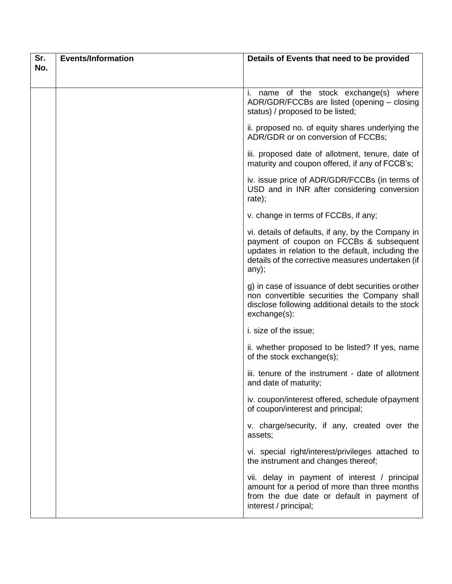| Sr. | <b>Events/Information</b> | Details of Events that need to be provided                                                                                                                                                                       |
|-----|---------------------------|------------------------------------------------------------------------------------------------------------------------------------------------------------------------------------------------------------------|
| No. |                           |                                                                                                                                                                                                                  |
|     |                           | i. name of the stock exchange(s) where<br>ADR/GDR/FCCBs are listed (opening - closing<br>status) / proposed to be listed;                                                                                        |
|     |                           | ii. proposed no. of equity shares underlying the<br>ADR/GDR or on conversion of FCCBs;                                                                                                                           |
|     |                           | iii. proposed date of allotment, tenure, date of<br>maturity and coupon offered, if any of FCCB's;                                                                                                               |
|     |                           | iv. issue price of ADR/GDR/FCCBs (in terms of<br>USD and in INR after considering conversion<br>rate);                                                                                                           |
|     |                           | v. change in terms of FCCBs, if any;                                                                                                                                                                             |
|     |                           | vi. details of defaults, if any, by the Company in<br>payment of coupon on FCCBs & subsequent<br>updates in relation to the default, including the<br>details of the corrective measures undertaken (if<br>any); |
|     |                           | g) in case of issuance of debt securities or other<br>non convertible securities the Company shall<br>disclose following additional details to the stock<br>exchange(s):                                         |
|     |                           | i. size of the issue;                                                                                                                                                                                            |
|     |                           | ii. whether proposed to be listed? If yes, name<br>of the stock exchange(s);                                                                                                                                     |
|     |                           | iii. tenure of the instrument - date of allotment<br>and date of maturity;                                                                                                                                       |
|     |                           | iv. coupon/interest offered, schedule of payment<br>of coupon/interest and principal;                                                                                                                            |
|     |                           | v. charge/security, if any, created over the<br>assets;                                                                                                                                                          |
|     |                           | vi. special right/interest/privileges attached to<br>the instrument and changes thereof;                                                                                                                         |
|     |                           | vii. delay in payment of interest / principal<br>amount for a period of more than three months<br>from the due date or default in payment of<br>interest / principal;                                            |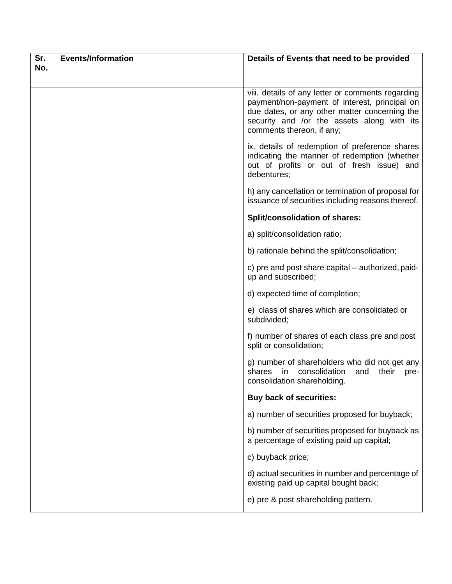| Sr. | <b>Events/Information</b> | Details of Events that need to be provided                                                                                                                                                                                     |
|-----|---------------------------|--------------------------------------------------------------------------------------------------------------------------------------------------------------------------------------------------------------------------------|
| No. |                           |                                                                                                                                                                                                                                |
|     |                           | viii. details of any letter or comments regarding<br>payment/non-payment of interest, principal on<br>due dates, or any other matter concerning the<br>security and /or the assets along with its<br>comments thereon, if any; |
|     |                           | ix. details of redemption of preference shares<br>indicating the manner of redemption (whether<br>out of profits or out of fresh issue) and<br>debentures;                                                                     |
|     |                           | h) any cancellation or termination of proposal for<br>issuance of securities including reasons thereof.                                                                                                                        |
|     |                           | Split/consolidation of shares:                                                                                                                                                                                                 |
|     |                           | a) split/consolidation ratio;                                                                                                                                                                                                  |
|     |                           | b) rationale behind the split/consolidation;                                                                                                                                                                                   |
|     |                           | c) pre and post share capital – authorized, paid-<br>up and subscribed;                                                                                                                                                        |
|     |                           | d) expected time of completion;                                                                                                                                                                                                |
|     |                           | e) class of shares which are consolidated or<br>subdivided;                                                                                                                                                                    |
|     |                           | f) number of shares of each class pre and post<br>split or consolidation;                                                                                                                                                      |
|     |                           | g) number of shareholders who did not get any<br>shares in<br>consolidation<br>their<br>and<br>pre-<br>consolidation shareholding.                                                                                             |
|     |                           | <b>Buy back of securities:</b>                                                                                                                                                                                                 |
|     |                           | a) number of securities proposed for buyback;                                                                                                                                                                                  |
|     |                           | b) number of securities proposed for buyback as<br>a percentage of existing paid up capital;                                                                                                                                   |
|     |                           | c) buyback price;                                                                                                                                                                                                              |
|     |                           | d) actual securities in number and percentage of<br>existing paid up capital bought back;                                                                                                                                      |
|     |                           | e) pre & post shareholding pattern.                                                                                                                                                                                            |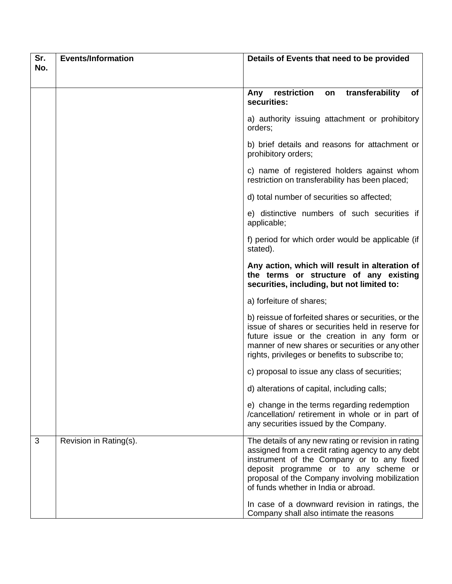| Sr. | <b>Events/Information</b> | Details of Events that need to be provided                                                                                                                                                                                                                                              |
|-----|---------------------------|-----------------------------------------------------------------------------------------------------------------------------------------------------------------------------------------------------------------------------------------------------------------------------------------|
| No. |                           |                                                                                                                                                                                                                                                                                         |
|     |                           | restriction<br>on transferability<br>of<br>Any<br>securities:                                                                                                                                                                                                                           |
|     |                           | a) authority issuing attachment or prohibitory<br>orders;                                                                                                                                                                                                                               |
|     |                           | b) brief details and reasons for attachment or<br>prohibitory orders;                                                                                                                                                                                                                   |
|     |                           | c) name of registered holders against whom<br>restriction on transferability has been placed;                                                                                                                                                                                           |
|     |                           | d) total number of securities so affected;                                                                                                                                                                                                                                              |
|     |                           | e) distinctive numbers of such securities if<br>applicable;                                                                                                                                                                                                                             |
|     |                           | f) period for which order would be applicable (if<br>stated).                                                                                                                                                                                                                           |
|     |                           | Any action, which will result in alteration of<br>the terms or structure of any existing<br>securities, including, but not limited to:                                                                                                                                                  |
|     |                           | a) forfeiture of shares;                                                                                                                                                                                                                                                                |
|     |                           | b) reissue of forfeited shares or securities, or the<br>issue of shares or securities held in reserve for<br>future issue or the creation in any form or<br>manner of new shares or securities or any other<br>rights, privileges or benefits to subscribe to;                          |
|     |                           | c) proposal to issue any class of securities;                                                                                                                                                                                                                                           |
|     |                           | d) alterations of capital, including calls;                                                                                                                                                                                                                                             |
|     |                           | e) change in the terms regarding redemption<br>/cancellation/ retirement in whole or in part of<br>any securities issued by the Company.                                                                                                                                                |
| 3   | Revision in Rating(s).    | The details of any new rating or revision in rating<br>assigned from a credit rating agency to any debt<br>instrument of the Company or to any fixed<br>deposit programme or to any scheme or<br>proposal of the Company involving mobilization<br>of funds whether in India or abroad. |
|     |                           | In case of a downward revision in ratings, the<br>Company shall also intimate the reasons                                                                                                                                                                                               |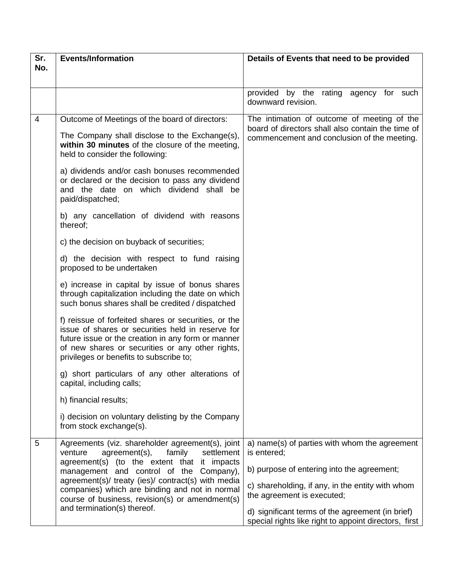| Sr. | <b>Events/Information</b>                                                                                                                                                                                                                                                                                                                                                                                                                                                                                                                                                                                                                                                                                                                                                                                                                                                                                                                                                                                                                                                                                                                      | Details of Events that need to be provided                                                                                                                                                                                                                                                                |
|-----|------------------------------------------------------------------------------------------------------------------------------------------------------------------------------------------------------------------------------------------------------------------------------------------------------------------------------------------------------------------------------------------------------------------------------------------------------------------------------------------------------------------------------------------------------------------------------------------------------------------------------------------------------------------------------------------------------------------------------------------------------------------------------------------------------------------------------------------------------------------------------------------------------------------------------------------------------------------------------------------------------------------------------------------------------------------------------------------------------------------------------------------------|-----------------------------------------------------------------------------------------------------------------------------------------------------------------------------------------------------------------------------------------------------------------------------------------------------------|
| No. |                                                                                                                                                                                                                                                                                                                                                                                                                                                                                                                                                                                                                                                                                                                                                                                                                                                                                                                                                                                                                                                                                                                                                |                                                                                                                                                                                                                                                                                                           |
|     |                                                                                                                                                                                                                                                                                                                                                                                                                                                                                                                                                                                                                                                                                                                                                                                                                                                                                                                                                                                                                                                                                                                                                | provided by the rating agency for such<br>downward revision.                                                                                                                                                                                                                                              |
| 4   | Outcome of Meetings of the board of directors:<br>The Company shall disclose to the Exchange(s),<br>within 30 minutes of the closure of the meeting,<br>held to consider the following:<br>a) dividends and/or cash bonuses recommended<br>or declared or the decision to pass any dividend<br>and the date on which dividend shall be<br>paid/dispatched;<br>b) any cancellation of dividend with reasons<br>thereof;<br>c) the decision on buyback of securities;<br>d) the decision with respect to fund raising<br>proposed to be undertaken<br>e) increase in capital by issue of bonus shares<br>through capitalization including the date on which<br>such bonus shares shall be credited / dispatched<br>f) reissue of forfeited shares or securities, or the<br>issue of shares or securities held in reserve for<br>future issue or the creation in any form or manner<br>of new shares or securities or any other rights,<br>privileges or benefits to subscribe to;<br>g) short particulars of any other alterations of<br>capital, including calls;<br>h) financial results;<br>i) decision on voluntary delisting by the Company | The intimation of outcome of meeting of the<br>board of directors shall also contain the time of<br>commencement and conclusion of the meeting.                                                                                                                                                           |
|     | from stock exchange(s).                                                                                                                                                                                                                                                                                                                                                                                                                                                                                                                                                                                                                                                                                                                                                                                                                                                                                                                                                                                                                                                                                                                        |                                                                                                                                                                                                                                                                                                           |
| 5   | Agreements (viz. shareholder agreement(s), joint<br>agreement(s),<br>family<br>settlement<br>venture<br>agreement(s) (to the extent that it impacts<br>management and control of the Company),<br>agreement(s)/ treaty (ies)/ contract(s) with media<br>companies) which are binding and not in normal<br>course of business, revision(s) or amendment(s)<br>and termination(s) thereof.                                                                                                                                                                                                                                                                                                                                                                                                                                                                                                                                                                                                                                                                                                                                                       | a) name(s) of parties with whom the agreement<br>is entered;<br>b) purpose of entering into the agreement;<br>c) shareholding, if any, in the entity with whom<br>the agreement is executed;<br>d) significant terms of the agreement (in brief)<br>special rights like right to appoint directors, first |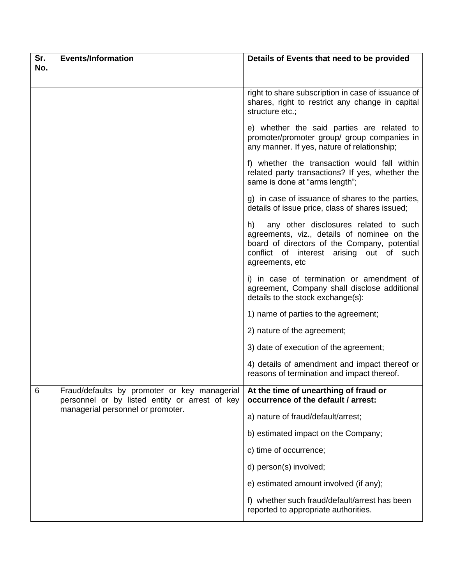| Sr. | <b>Events/Information</b>                                                                      | Details of Events that need to be provided                                                                                                                                                                |
|-----|------------------------------------------------------------------------------------------------|-----------------------------------------------------------------------------------------------------------------------------------------------------------------------------------------------------------|
| No. |                                                                                                |                                                                                                                                                                                                           |
|     |                                                                                                | right to share subscription in case of issuance of<br>shares, right to restrict any change in capital<br>structure etc.;                                                                                  |
|     |                                                                                                | e) whether the said parties are related to<br>promoter/promoter group/ group companies in<br>any manner. If yes, nature of relationship;                                                                  |
|     |                                                                                                | f) whether the transaction would fall within<br>related party transactions? If yes, whether the<br>same is done at "arms length";                                                                         |
|     |                                                                                                | g) in case of issuance of shares to the parties,<br>details of issue price, class of shares issued;                                                                                                       |
|     |                                                                                                | h)<br>any other disclosures related to such<br>agreements, viz., details of nominee on the<br>board of directors of the Company, potential<br>conflict of interest arising out of such<br>agreements, etc |
|     |                                                                                                | i) in case of termination or amendment of<br>agreement, Company shall disclose additional<br>details to the stock exchange(s):                                                                            |
|     |                                                                                                | 1) name of parties to the agreement;                                                                                                                                                                      |
|     |                                                                                                | 2) nature of the agreement;                                                                                                                                                                               |
|     |                                                                                                | 3) date of execution of the agreement;                                                                                                                                                                    |
|     |                                                                                                | 4) details of amendment and impact thereof or<br>reasons of termination and impact thereof.                                                                                                               |
| 6   | Fraud/defaults by promoter or key managerial<br>personnel or by listed entity or arrest of key | At the time of unearthing of fraud or<br>occurrence of the default / arrest:                                                                                                                              |
|     | managerial personnel or promoter.                                                              | a) nature of fraud/default/arrest;                                                                                                                                                                        |
|     |                                                                                                | b) estimated impact on the Company;                                                                                                                                                                       |
|     |                                                                                                | c) time of occurrence;                                                                                                                                                                                    |
|     |                                                                                                | d) person(s) involved;                                                                                                                                                                                    |
|     |                                                                                                | e) estimated amount involved (if any);                                                                                                                                                                    |
|     |                                                                                                | f) whether such fraud/default/arrest has been<br>reported to appropriate authorities.                                                                                                                     |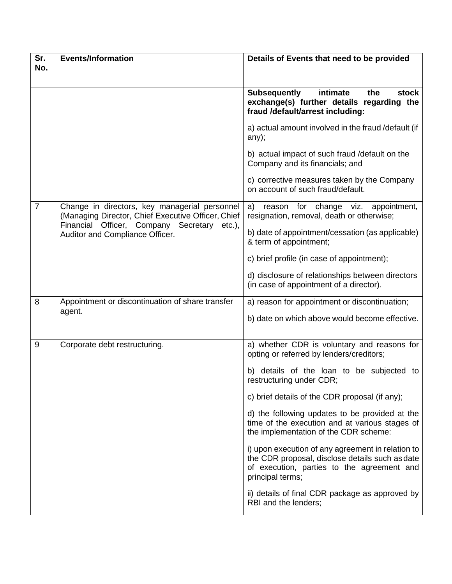| Sr.            | <b>Events/Information</b>                                                                           | Details of Events that need to be provided                                                                                                                             |
|----------------|-----------------------------------------------------------------------------------------------------|------------------------------------------------------------------------------------------------------------------------------------------------------------------------|
| No.            |                                                                                                     |                                                                                                                                                                        |
|                |                                                                                                     | intimate<br>the<br><b>Subsequently</b><br>stock<br>exchange(s) further details regarding the<br>fraud /default/arrest including:                                       |
|                |                                                                                                     | a) actual amount involved in the fraud /default (if<br>any);                                                                                                           |
|                |                                                                                                     | b) actual impact of such fraud /default on the<br>Company and its financials; and                                                                                      |
|                |                                                                                                     | c) corrective measures taken by the Company<br>on account of such fraud/default.                                                                                       |
| $\overline{7}$ | Change in directors, key managerial personnel<br>(Managing Director, Chief Executive Officer, Chief | reason for change viz. appointment,<br>a)<br>resignation, removal, death or otherwise;                                                                                 |
|                | Financial Officer, Company Secretary etc.),<br>Auditor and Compliance Officer.                      | b) date of appointment/cessation (as applicable)<br>& term of appointment;                                                                                             |
|                |                                                                                                     | c) brief profile (in case of appointment);                                                                                                                             |
|                |                                                                                                     | d) disclosure of relationships between directors<br>(in case of appointment of a director).                                                                            |
| 8              | Appointment or discontinuation of share transfer                                                    | a) reason for appointment or discontinuation;                                                                                                                          |
|                | agent.                                                                                              | b) date on which above would become effective.                                                                                                                         |
| 9              | Corporate debt restructuring.                                                                       | a) whether CDR is voluntary and reasons for<br>opting or referred by lenders/creditors;                                                                                |
|                |                                                                                                     | b) details of the loan to be subjected to<br>restructuring under CDR;                                                                                                  |
|                |                                                                                                     | c) brief details of the CDR proposal (if any);                                                                                                                         |
|                |                                                                                                     | d) the following updates to be provided at the<br>time of the execution and at various stages of<br>the implementation of the CDR scheme:                              |
|                |                                                                                                     | i) upon execution of any agreement in relation to<br>the CDR proposal, disclose details such as date<br>of execution, parties to the agreement and<br>principal terms; |
|                |                                                                                                     | ii) details of final CDR package as approved by<br>RBI and the lenders;                                                                                                |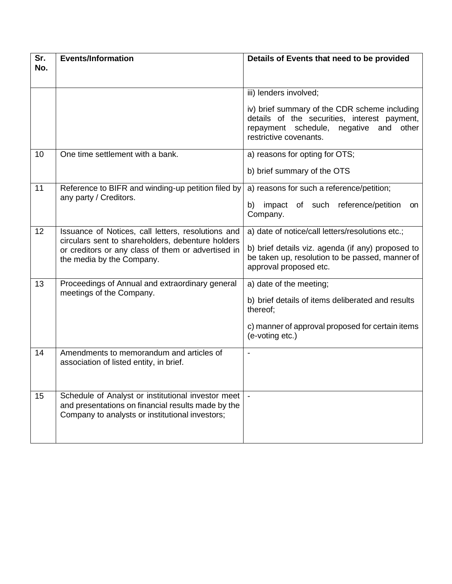| Sr.<br>No. | <b>Events/Information</b>                                                                                                                                                                  | Details of Events that need to be provided                                                                                                                                                        |
|------------|--------------------------------------------------------------------------------------------------------------------------------------------------------------------------------------------|---------------------------------------------------------------------------------------------------------------------------------------------------------------------------------------------------|
|            |                                                                                                                                                                                            | iii) lenders involved;<br>iv) brief summary of the CDR scheme including<br>details of the securities, interest payment,<br>repayment schedule, negative<br>and<br>other<br>restrictive covenants. |
| 10         | One time settlement with a bank.                                                                                                                                                           | a) reasons for opting for OTS;<br>b) brief summary of the OTS                                                                                                                                     |
| 11         | Reference to BIFR and winding-up petition filed by<br>any party / Creditors.                                                                                                               | a) reasons for such a reference/petition;<br>b) impact of such reference/petition<br>on<br>Company.                                                                                               |
| 12         | Issuance of Notices, call letters, resolutions and<br>circulars sent to shareholders, debenture holders<br>or creditors or any class of them or advertised in<br>the media by the Company. | a) date of notice/call letters/resolutions etc.;<br>b) brief details viz. agenda (if any) proposed to<br>be taken up, resolution to be passed, manner of<br>approval proposed etc.                |
| 13         | Proceedings of Annual and extraordinary general<br>meetings of the Company.                                                                                                                | a) date of the meeting;<br>b) brief details of items deliberated and results<br>thereof;<br>c) manner of approval proposed for certain items<br>(e-voting etc.)                                   |
| 14         | Amendments to memorandum and articles of<br>association of listed entity, in brief.                                                                                                        |                                                                                                                                                                                                   |
| 15         | Schedule of Analyst or institutional investor meet<br>and presentations on financial results made by the<br>Company to analysts or institutional investors;                                |                                                                                                                                                                                                   |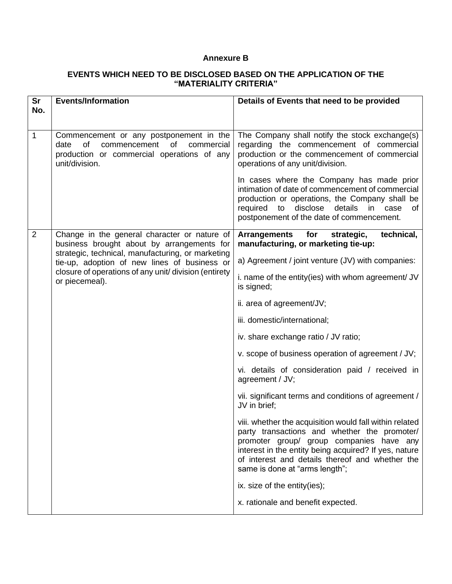### **Annexure B**

## **EVENTS WHICH NEED TO BE DISCLOSED BASED ON THE APPLICATION OF THE "MATERIALITY CRITERIA"**

| <b>Sr</b><br>No. | <b>Events/Information</b>                                                                                                                                                    | Details of Events that need to be provided                                                                                                                                                                                                                                                        |
|------------------|------------------------------------------------------------------------------------------------------------------------------------------------------------------------------|---------------------------------------------------------------------------------------------------------------------------------------------------------------------------------------------------------------------------------------------------------------------------------------------------|
|                  |                                                                                                                                                                              |                                                                                                                                                                                                                                                                                                   |
| 1                | Commencement or any postponement in the<br><b>of</b><br>commencement<br>of<br>date<br>commercial<br>production or commercial operations of any<br>unit/division.             | The Company shall notify the stock exchange(s)<br>regarding the commencement of commercial<br>production or the commencement of commercial<br>operations of any unit/division.                                                                                                                    |
|                  |                                                                                                                                                                              | In cases where the Company has made prior<br>intimation of date of commencement of commercial<br>production or operations, the Company shall be<br>disclose<br>details<br>required<br>to<br>in<br>case<br>оf<br>postponement of the date of commencement.                                         |
| $\overline{2}$   | Change in the general character or nature of<br>business brought about by arrangements for                                                                                   | for<br>strategic,<br>technical,<br>Arrangements<br>manufacturing, or marketing tie-up:                                                                                                                                                                                                            |
|                  | strategic, technical, manufacturing, or marketing<br>tie-up, adoption of new lines of business or<br>closure of operations of any unit/ division (entirety<br>or piecemeal). | a) Agreement / joint venture (JV) with companies:                                                                                                                                                                                                                                                 |
|                  |                                                                                                                                                                              | i. name of the entity(ies) with whom agreement/ JV<br>is signed;                                                                                                                                                                                                                                  |
|                  |                                                                                                                                                                              | ii. area of agreement/JV;                                                                                                                                                                                                                                                                         |
|                  |                                                                                                                                                                              | iii. domestic/international;                                                                                                                                                                                                                                                                      |
|                  |                                                                                                                                                                              | iv. share exchange ratio / JV ratio;                                                                                                                                                                                                                                                              |
|                  |                                                                                                                                                                              | v. scope of business operation of agreement / JV;                                                                                                                                                                                                                                                 |
|                  |                                                                                                                                                                              | vi. details of consideration paid / received in<br>agreement / JV;                                                                                                                                                                                                                                |
|                  |                                                                                                                                                                              | vii. significant terms and conditions of agreement /<br>JV in brief;                                                                                                                                                                                                                              |
|                  |                                                                                                                                                                              | viii. whether the acquisition would fall within related<br>party transactions and whether the promoter/<br>promoter group/ group companies have any<br>interest in the entity being acquired? If yes, nature<br>of interest and details thereof and whether the<br>same is done at "arms length"; |
|                  |                                                                                                                                                                              | ix. size of the entity(ies);                                                                                                                                                                                                                                                                      |
|                  |                                                                                                                                                                              | x. rationale and benefit expected.                                                                                                                                                                                                                                                                |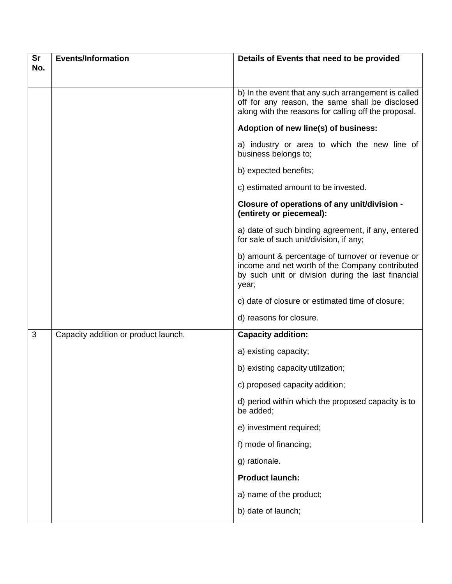| <b>Sr</b> | <b>Events/Information</b>            | Details of Events that need to be provided                                                                                                                         |
|-----------|--------------------------------------|--------------------------------------------------------------------------------------------------------------------------------------------------------------------|
| No.       |                                      |                                                                                                                                                                    |
|           |                                      | b) In the event that any such arrangement is called<br>off for any reason, the same shall be disclosed<br>along with the reasons for calling off the proposal.     |
|           |                                      | Adoption of new line(s) of business:                                                                                                                               |
|           |                                      | a) industry or area to which the new line of<br>business belongs to;                                                                                               |
|           |                                      | b) expected benefits;                                                                                                                                              |
|           |                                      | c) estimated amount to be invested.                                                                                                                                |
|           |                                      | Closure of operations of any unit/division -<br>(entirety or piecemeal):                                                                                           |
|           |                                      | a) date of such binding agreement, if any, entered<br>for sale of such unit/division, if any;                                                                      |
|           |                                      | b) amount & percentage of turnover or revenue or<br>income and net worth of the Company contributed<br>by such unit or division during the last financial<br>year; |
|           |                                      | c) date of closure or estimated time of closure;                                                                                                                   |
|           |                                      | d) reasons for closure.                                                                                                                                            |
| 3         | Capacity addition or product launch. | <b>Capacity addition:</b>                                                                                                                                          |
|           |                                      | a) existing capacity;                                                                                                                                              |
|           |                                      | b) existing capacity utilization;                                                                                                                                  |
|           |                                      | c) proposed capacity addition;                                                                                                                                     |
|           |                                      | d) period within which the proposed capacity is to<br>be added;                                                                                                    |
|           |                                      | e) investment required;                                                                                                                                            |
|           |                                      | f) mode of financing;                                                                                                                                              |
|           |                                      | g) rationale.                                                                                                                                                      |
|           |                                      | <b>Product launch:</b>                                                                                                                                             |
|           |                                      | a) name of the product;                                                                                                                                            |
|           |                                      | b) date of launch;                                                                                                                                                 |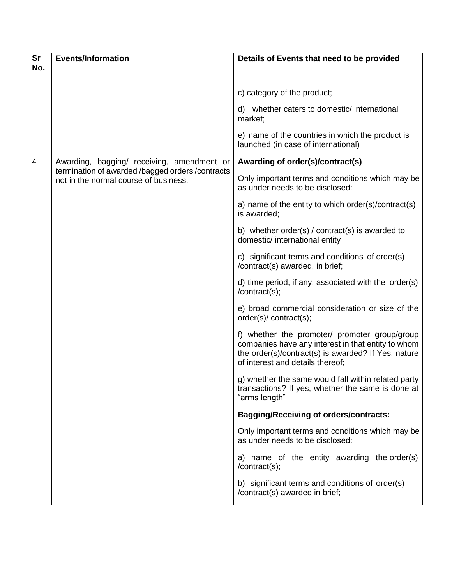| <b>Sr</b>      | <b>Events/Information</b>                                                                 | Details of Events that need to be provided                                                                                                                                                     |
|----------------|-------------------------------------------------------------------------------------------|------------------------------------------------------------------------------------------------------------------------------------------------------------------------------------------------|
| No.            |                                                                                           |                                                                                                                                                                                                |
|                |                                                                                           | c) category of the product;                                                                                                                                                                    |
|                |                                                                                           |                                                                                                                                                                                                |
|                |                                                                                           | d) whether caters to domestic/international<br>market;                                                                                                                                         |
|                |                                                                                           | e) name of the countries in which the product is<br>launched (in case of international)                                                                                                        |
| $\overline{4}$ | Awarding, bagging/ receiving, amendment or                                                | Awarding of order(s)/contract(s)                                                                                                                                                               |
|                | termination of awarded /bagged orders /contracts<br>not in the normal course of business. | Only important terms and conditions which may be<br>as under needs to be disclosed:                                                                                                            |
|                |                                                                                           | a) name of the entity to which order(s)/contract(s)<br>is awarded;                                                                                                                             |
|                |                                                                                           | b) whether order(s) $/$ contract(s) is awarded to<br>domestic/ international entity                                                                                                            |
|                |                                                                                           | c) significant terms and conditions of order(s)<br>/contract(s) awarded, in brief;                                                                                                             |
|                |                                                                                           | d) time period, if any, associated with the order(s)<br>/contract(s);                                                                                                                          |
|                |                                                                                           | e) broad commercial consideration or size of the<br>order(s)/ contract(s);                                                                                                                     |
|                |                                                                                           | f) whether the promoter/ promoter group/group<br>companies have any interest in that entity to whom<br>the order(s)/contract(s) is awarded? If Yes, nature<br>of interest and details thereof; |
|                |                                                                                           | g) whether the same would fall within related party<br>transactions? If yes, whether the same is done at<br>"arms length"                                                                      |
|                |                                                                                           | <b>Bagging/Receiving of orders/contracts:</b>                                                                                                                                                  |
|                |                                                                                           | Only important terms and conditions which may be<br>as under needs to be disclosed:                                                                                                            |
|                |                                                                                           | a) name of the entity awarding the order(s)<br>/contract(s);                                                                                                                                   |
|                |                                                                                           | b) significant terms and conditions of order(s)<br>/contract(s) awarded in brief;                                                                                                              |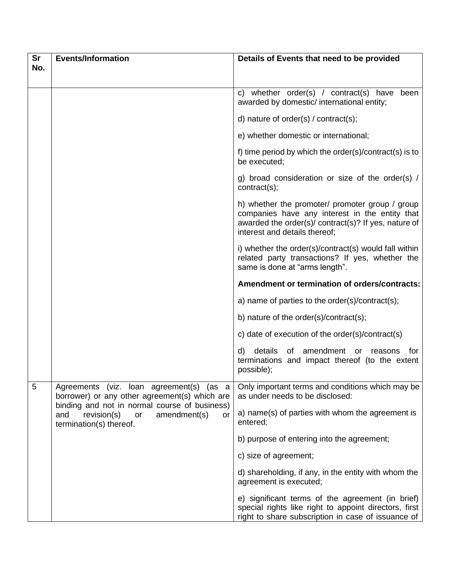| <b>Sr</b> | <b>Events/Information</b>                                                                                                                                                                                               | Details of Events that need to be provided                                                                                                                                                 |
|-----------|-------------------------------------------------------------------------------------------------------------------------------------------------------------------------------------------------------------------------|--------------------------------------------------------------------------------------------------------------------------------------------------------------------------------------------|
| No.       |                                                                                                                                                                                                                         |                                                                                                                                                                                            |
|           |                                                                                                                                                                                                                         | whether order(s) / contract(s) have been<br>C)<br>awarded by domestic/ international entity;                                                                                               |
|           |                                                                                                                                                                                                                         | d) nature of order(s) / contract(s);                                                                                                                                                       |
|           |                                                                                                                                                                                                                         | e) whether domestic or international;                                                                                                                                                      |
|           |                                                                                                                                                                                                                         | f) time period by which the order(s)/contract(s) is to<br>be executed;                                                                                                                     |
|           |                                                                                                                                                                                                                         | g) broad consideration or size of the order(s) /<br>contract(s);                                                                                                                           |
|           |                                                                                                                                                                                                                         | h) whether the promoter/ promoter group / group<br>companies have any interest in the entity that<br>awarded the order(s)/ contract(s)? If yes, nature of<br>interest and details thereof; |
|           |                                                                                                                                                                                                                         | i) whether the order(s)/contract(s) would fall within<br>related party transactions? If yes, whether the<br>same is done at "arms length".                                                 |
|           |                                                                                                                                                                                                                         | Amendment or termination of orders/contracts:                                                                                                                                              |
|           |                                                                                                                                                                                                                         | a) name of parties to the order(s)/contract(s);                                                                                                                                            |
|           |                                                                                                                                                                                                                         | b) nature of the order(s)/contract(s);                                                                                                                                                     |
|           |                                                                                                                                                                                                                         | c) date of execution of the order(s)/contract(s)                                                                                                                                           |
|           |                                                                                                                                                                                                                         | details<br>amendment<br>d)<br>of<br>for<br>or<br>reasons<br>terminations and impact thereof (to the extent<br>possible);                                                                   |
| 5         | Agreements (viz. loan agreement(s) (as a<br>borrower) or any other agreement(s) which are<br>binding and not in normal course of business)<br>revision(s)<br>amendment(s)<br>and<br>or<br>or<br>termination(s) thereof. | Only important terms and conditions which may be<br>as under needs to be disclosed:                                                                                                        |
|           |                                                                                                                                                                                                                         | a) name(s) of parties with whom the agreement is<br>entered;                                                                                                                               |
|           |                                                                                                                                                                                                                         | b) purpose of entering into the agreement;                                                                                                                                                 |
|           |                                                                                                                                                                                                                         | c) size of agreement;                                                                                                                                                                      |
|           |                                                                                                                                                                                                                         | d) shareholding, if any, in the entity with whom the<br>agreement is executed;                                                                                                             |
|           |                                                                                                                                                                                                                         | e) significant terms of the agreement (in brief)<br>special rights like right to appoint directors, first<br>right to share subscription in case of issuance of                            |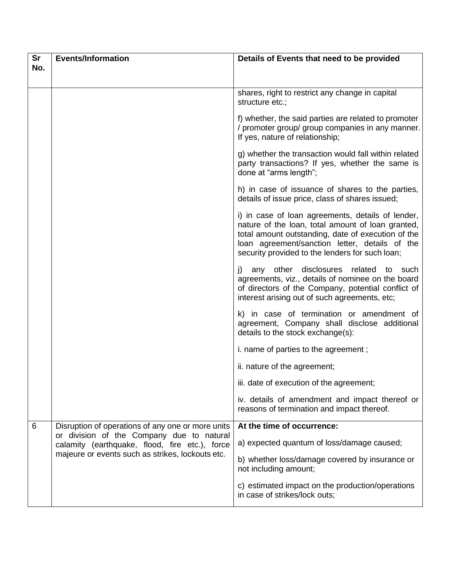| <b>Sr</b> | <b>Events/Information</b>                                                                                                                                                                            | Details of Events that need to be provided                                                                                                                                                                                                                        |
|-----------|------------------------------------------------------------------------------------------------------------------------------------------------------------------------------------------------------|-------------------------------------------------------------------------------------------------------------------------------------------------------------------------------------------------------------------------------------------------------------------|
| No.       |                                                                                                                                                                                                      |                                                                                                                                                                                                                                                                   |
|           |                                                                                                                                                                                                      | shares, right to restrict any change in capital<br>structure etc.;                                                                                                                                                                                                |
|           |                                                                                                                                                                                                      | f) whether, the said parties are related to promoter<br>/ promoter group/ group companies in any manner.<br>If yes, nature of relationship;                                                                                                                       |
|           |                                                                                                                                                                                                      | g) whether the transaction would fall within related<br>party transactions? If yes, whether the same is<br>done at "arms length";                                                                                                                                 |
|           |                                                                                                                                                                                                      | h) in case of issuance of shares to the parties,<br>details of issue price, class of shares issued;                                                                                                                                                               |
|           |                                                                                                                                                                                                      | i) in case of loan agreements, details of lender,<br>nature of the loan, total amount of loan granted,<br>total amount outstanding, date of execution of the<br>loan agreement/sanction letter, details of the<br>security provided to the lenders for such loan; |
|           |                                                                                                                                                                                                      | any other disclosures related<br>i)<br>to such<br>agreements, viz., details of nominee on the board<br>of directors of the Company, potential conflict of<br>interest arising out of such agreements, etc;                                                        |
|           |                                                                                                                                                                                                      | k) in case of termination or amendment of<br>agreement, Company shall disclose additional<br>details to the stock exchange(s):                                                                                                                                    |
|           |                                                                                                                                                                                                      | i. name of parties to the agreement;                                                                                                                                                                                                                              |
|           |                                                                                                                                                                                                      | ii. nature of the agreement;                                                                                                                                                                                                                                      |
|           |                                                                                                                                                                                                      | iii. date of execution of the agreement;                                                                                                                                                                                                                          |
|           |                                                                                                                                                                                                      | iv. details of amendment and impact thereof or<br>reasons of termination and impact thereof.                                                                                                                                                                      |
| 6         | Disruption of operations of any one or more units<br>or division of the Company due to natural<br>calamity (earthquake, flood, fire etc.), force<br>majeure or events such as strikes, lockouts etc. | At the time of occurrence:                                                                                                                                                                                                                                        |
|           |                                                                                                                                                                                                      | a) expected quantum of loss/damage caused;                                                                                                                                                                                                                        |
|           |                                                                                                                                                                                                      | b) whether loss/damage covered by insurance or<br>not including amount;                                                                                                                                                                                           |
|           |                                                                                                                                                                                                      | c) estimated impact on the production/operations<br>in case of strikes/lock outs;                                                                                                                                                                                 |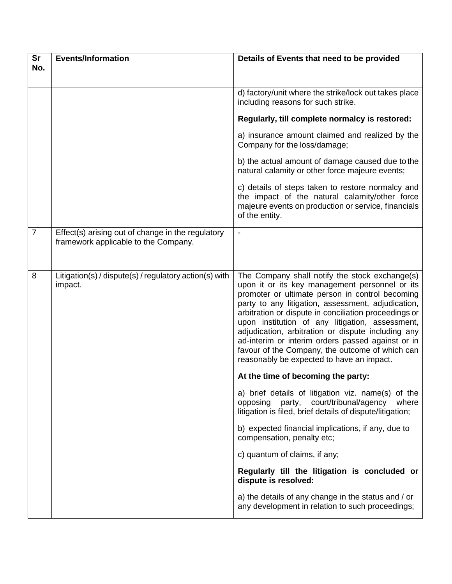| <b>Sr</b>      | <b>Events/Information</b>                                                                 | Details of Events that need to be provided                                                                                                                                                                                                                                                                                                                                                                                                                                                                                       |
|----------------|-------------------------------------------------------------------------------------------|----------------------------------------------------------------------------------------------------------------------------------------------------------------------------------------------------------------------------------------------------------------------------------------------------------------------------------------------------------------------------------------------------------------------------------------------------------------------------------------------------------------------------------|
| No.            |                                                                                           |                                                                                                                                                                                                                                                                                                                                                                                                                                                                                                                                  |
|                |                                                                                           | d) factory/unit where the strike/lock out takes place<br>including reasons for such strike.                                                                                                                                                                                                                                                                                                                                                                                                                                      |
|                |                                                                                           | Regularly, till complete normalcy is restored:                                                                                                                                                                                                                                                                                                                                                                                                                                                                                   |
|                |                                                                                           | a) insurance amount claimed and realized by the<br>Company for the loss/damage;                                                                                                                                                                                                                                                                                                                                                                                                                                                  |
|                |                                                                                           | b) the actual amount of damage caused due to the<br>natural calamity or other force majeure events;                                                                                                                                                                                                                                                                                                                                                                                                                              |
|                |                                                                                           | c) details of steps taken to restore normalcy and<br>the impact of the natural calamity/other force<br>majeure events on production or service, financials<br>of the entity.                                                                                                                                                                                                                                                                                                                                                     |
| $\overline{7}$ | Effect(s) arising out of change in the regulatory<br>framework applicable to the Company. |                                                                                                                                                                                                                                                                                                                                                                                                                                                                                                                                  |
| 8              | Litigation(s) / dispute(s) / regulatory action(s) with<br>impact.                         | The Company shall notify the stock exchange(s)<br>upon it or its key management personnel or its<br>promoter or ultimate person in control becoming<br>party to any litigation, assessment, adjudication,<br>arbitration or dispute in conciliation proceedings or<br>upon institution of any litigation, assessment,<br>adjudication, arbitration or dispute including any<br>ad-interim or interim orders passed against or in<br>favour of the Company, the outcome of which can<br>reasonably be expected to have an impact. |
|                |                                                                                           | At the time of becoming the party:                                                                                                                                                                                                                                                                                                                                                                                                                                                                                               |
|                |                                                                                           | a) brief details of litigation viz. name(s) of the<br>court/tribunal/agency<br>opposing<br>party,<br>where<br>litigation is filed, brief details of dispute/litigation;                                                                                                                                                                                                                                                                                                                                                          |
|                |                                                                                           | b) expected financial implications, if any, due to<br>compensation, penalty etc;                                                                                                                                                                                                                                                                                                                                                                                                                                                 |
|                |                                                                                           | c) quantum of claims, if any;                                                                                                                                                                                                                                                                                                                                                                                                                                                                                                    |
|                |                                                                                           | Regularly till the litigation is concluded or<br>dispute is resolved:                                                                                                                                                                                                                                                                                                                                                                                                                                                            |
|                |                                                                                           | a) the details of any change in the status and / or<br>any development in relation to such proceedings;                                                                                                                                                                                                                                                                                                                                                                                                                          |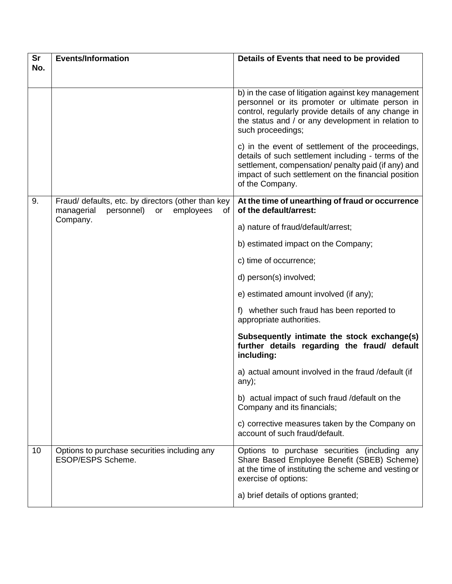| <b>Sr</b> | <b>Events/Information</b>                                                                            | Details of Events that need to be provided                                                                                                                                                                                                |
|-----------|------------------------------------------------------------------------------------------------------|-------------------------------------------------------------------------------------------------------------------------------------------------------------------------------------------------------------------------------------------|
| No.       |                                                                                                      |                                                                                                                                                                                                                                           |
|           |                                                                                                      | b) in the case of litigation against key management<br>personnel or its promoter or ultimate person in<br>control, regularly provide details of any change in<br>the status and / or any development in relation to<br>such proceedings;  |
|           |                                                                                                      | c) in the event of settlement of the proceedings,<br>details of such settlement including - terms of the<br>settlement, compensation/ penalty paid (if any) and<br>impact of such settlement on the financial position<br>of the Company. |
| 9.        | Fraud/ defaults, etc. by directors (other than key<br>managerial<br>personnel) or<br>employees<br>of | At the time of unearthing of fraud or occurrence<br>of the default/arrest:                                                                                                                                                                |
|           | Company.                                                                                             | a) nature of fraud/default/arrest;                                                                                                                                                                                                        |
|           |                                                                                                      | b) estimated impact on the Company;                                                                                                                                                                                                       |
|           |                                                                                                      | c) time of occurrence;                                                                                                                                                                                                                    |
|           |                                                                                                      | d) person(s) involved;                                                                                                                                                                                                                    |
|           |                                                                                                      | e) estimated amount involved (if any);                                                                                                                                                                                                    |
|           |                                                                                                      | f) whether such fraud has been reported to<br>appropriate authorities.                                                                                                                                                                    |
|           |                                                                                                      | Subsequently intimate the stock exchange(s)<br>further details regarding the fraud/ default<br>including:                                                                                                                                 |
|           |                                                                                                      | a) actual amount involved in the fraud /default (if<br>any);                                                                                                                                                                              |
|           |                                                                                                      | b) actual impact of such fraud / default on the<br>Company and its financials;                                                                                                                                                            |
|           |                                                                                                      | c) corrective measures taken by the Company on<br>account of such fraud/default.                                                                                                                                                          |
| 10        | Options to purchase securities including any<br><b>ESOP/ESPS Scheme.</b>                             | Options to purchase securities (including any<br>Share Based Employee Benefit (SBEB) Scheme)<br>at the time of instituting the scheme and vesting or<br>exercise of options:                                                              |
|           |                                                                                                      | a) brief details of options granted;                                                                                                                                                                                                      |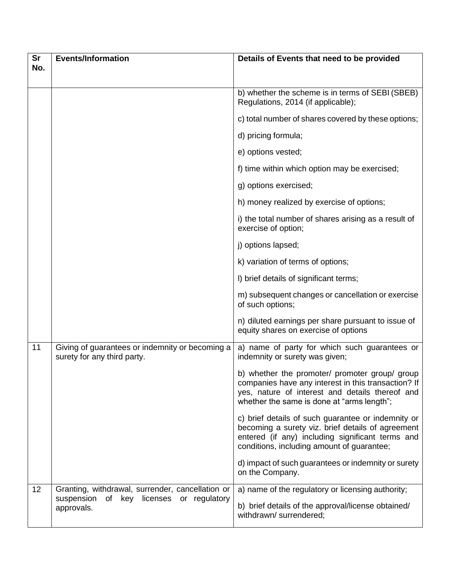| Sr  | <b>Events/Information</b>                                                                                     | Details of Events that need to be provided                                                                                                                                                                |
|-----|---------------------------------------------------------------------------------------------------------------|-----------------------------------------------------------------------------------------------------------------------------------------------------------------------------------------------------------|
| No. |                                                                                                               |                                                                                                                                                                                                           |
|     |                                                                                                               | b) whether the scheme is in terms of SEBI (SBEB)<br>Regulations, 2014 (if applicable);                                                                                                                    |
|     |                                                                                                               | c) total number of shares covered by these options;                                                                                                                                                       |
|     |                                                                                                               | d) pricing formula;                                                                                                                                                                                       |
|     |                                                                                                               | e) options vested;                                                                                                                                                                                        |
|     |                                                                                                               | f) time within which option may be exercised;                                                                                                                                                             |
|     |                                                                                                               | g) options exercised;                                                                                                                                                                                     |
|     |                                                                                                               | h) money realized by exercise of options;                                                                                                                                                                 |
|     |                                                                                                               | i) the total number of shares arising as a result of<br>exercise of option;                                                                                                                               |
|     |                                                                                                               | j) options lapsed;                                                                                                                                                                                        |
|     |                                                                                                               | k) variation of terms of options;                                                                                                                                                                         |
|     |                                                                                                               | I) brief details of significant terms;                                                                                                                                                                    |
|     |                                                                                                               | m) subsequent changes or cancellation or exercise<br>of such options;                                                                                                                                     |
|     |                                                                                                               | n) diluted earnings per share pursuant to issue of<br>equity shares on exercise of options                                                                                                                |
| 11  | Giving of guarantees or indemnity or becoming a<br>surety for any third party.                                | a) name of party for which such guarantees or<br>indemnity or surety was given;                                                                                                                           |
|     |                                                                                                               | b) whether the promoter/ promoter group/ group<br>companies have any interest in this transaction? If<br>yes, nature of interest and details thereof and<br>whether the same is done at "arms length";    |
|     |                                                                                                               | c) brief details of such guarantee or indemnity or<br>becoming a surety viz. brief details of agreement<br>entered (if any) including significant terms and<br>conditions, including amount of guarantee; |
|     |                                                                                                               | d) impact of such guarantees or indemnity or surety<br>on the Company.                                                                                                                                    |
| 12  | Granting, withdrawal, surrender, cancellation or<br>suspension<br>of key licenses or regulatory<br>approvals. | a) name of the regulatory or licensing authority;<br>b) brief details of the approval/license obtained/<br>withdrawn/ surrendered;                                                                        |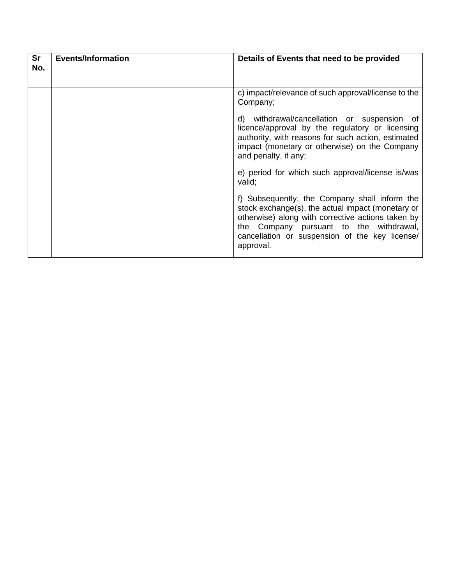| <b>Sr</b><br>No. | <b>Events/Information</b> | Details of Events that need to be provided                                                                                                                                                                                                                        |
|------------------|---------------------------|-------------------------------------------------------------------------------------------------------------------------------------------------------------------------------------------------------------------------------------------------------------------|
|                  |                           | c) impact/relevance of such approval/license to the<br>Company;                                                                                                                                                                                                   |
|                  |                           | withdrawal/cancellation or suspension of<br>d)<br>licence/approval by the regulatory or licensing<br>authority, with reasons for such action, estimated<br>impact (monetary or otherwise) on the Company<br>and penalty, if any;                                  |
|                  |                           | e) period for which such approval/license is/was<br>valid;                                                                                                                                                                                                        |
|                  |                           | f) Subsequently, the Company shall inform the<br>stock exchange(s), the actual impact (monetary or<br>otherwise) along with corrective actions taken by<br>the Company pursuant to the withdrawal,<br>cancellation or suspension of the key license/<br>approval. |